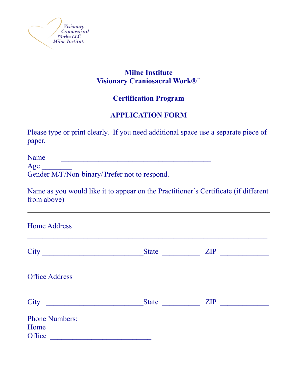

## **Milne Institute Visionary Craniosacral Work®**™

## **Certification Program**

# **APPLICATION FORM**

Please type or print clearly. If you need additional space use a separate piece of paper.

Name \_\_\_\_\_\_\_\_\_\_\_\_\_\_\_\_\_\_\_\_\_\_\_\_\_\_\_\_\_\_\_\_\_\_\_\_\_\_\_\_

Age \_\_\_\_\_\_\_\_

Gender M/F/Non-binary/ Prefer not to respond.

Name as you would like it to appear on the Practitioner's Certificate (if different from above)

 $\mathcal{L}_\text{max}$  , and the contract of the contract of the contract of the contract of the contract of the contract of the contract of the contract of the contract of the contract of the contract of the contract of the contr

Home Address

| City<br><u> 1980 - Johann Stein, marwolaethau a bh</u>                                                                                                                                                                                                                          | <b>State</b> | <b>ZIP</b> |
|---------------------------------------------------------------------------------------------------------------------------------------------------------------------------------------------------------------------------------------------------------------------------------|--------------|------------|
| <b>Office Address</b>                                                                                                                                                                                                                                                           |              |            |
| City<br><u> 1980 - Johann Stein, mars französischer Stein und der Stein und der Stein und der Stein und der Stein und der</u>                                                                                                                                                   | <b>State</b> | <b>ZIP</b> |
| <b>Phone Numbers:</b><br>Home<br><u> 1980 - Amerikaan Staatsburg van die Staatsburg van die Staatsburg van die Staatsburg van die Staatsburg van die Staatsburg van die Staatsburg van die Staatsburg van die Staatsburg van die Staatsburg van die Staatsburg va</u><br>Office |              |            |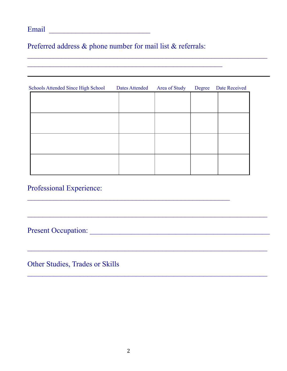# Email \_\_\_\_\_\_\_\_\_\_\_\_\_\_\_\_\_\_\_\_\_\_\_\_\_\_\_

Preferred address & phone number for mail list & referrals:

 $\mathcal{L}_\text{max}$  , and the contract of the contract of the contract of the contract of the contract of the contract of the contract of the contract of the contract of the contract of the contract of the contract of the contr

| Schools Attended Since High School | <b>Dates Attended</b> | Area of Study | Degree | Date Received |
|------------------------------------|-----------------------|---------------|--------|---------------|
|                                    |                       |               |        |               |
|                                    |                       |               |        |               |
|                                    |                       |               |        |               |
|                                    |                       |               |        |               |
|                                    |                       |               |        |               |
|                                    |                       |               |        |               |
|                                    |                       |               |        |               |
|                                    |                       |               |        |               |
|                                    |                       |               |        |               |
|                                    |                       |               |        |               |
|                                    |                       |               |        |               |

\_\_\_\_\_\_\_\_\_\_\_\_\_\_\_\_\_\_\_\_\_\_\_\_\_\_\_\_\_\_\_\_\_\_\_\_\_\_\_\_\_\_\_\_\_\_\_\_\_\_\_\_\_\_

 $\mathcal{L}_\text{max}$  , and the contract of the contract of the contract of the contract of the contract of the contract of the contract of the contract of the contract of the contract of the contract of the contract of the contr

 $\mathcal{L}_\mathcal{L} = \{ \mathcal{L}_\mathcal{L} = \{ \mathcal{L}_\mathcal{L} = \{ \mathcal{L}_\mathcal{L} = \{ \mathcal{L}_\mathcal{L} = \{ \mathcal{L}_\mathcal{L} = \{ \mathcal{L}_\mathcal{L} = \{ \mathcal{L}_\mathcal{L} = \{ \mathcal{L}_\mathcal{L} = \{ \mathcal{L}_\mathcal{L} = \{ \mathcal{L}_\mathcal{L} = \{ \mathcal{L}_\mathcal{L} = \{ \mathcal{L}_\mathcal{L} = \{ \mathcal{L}_\mathcal{L} = \{ \mathcal{L}_\mathcal{$ 

 $\mathcal{L}_\text{max}$  , and the contract of the contract of the contract of the contract of the contract of the contract of the contract of the contract of the contract of the contract of the contract of the contract of the contr

 $\mathcal{L}_\text{max}$  and  $\mathcal{L}_\text{max}$  and  $\mathcal{L}_\text{max}$  and  $\mathcal{L}_\text{max}$  and  $\mathcal{L}_\text{max}$  and  $\mathcal{L}_\text{max}$ 

#### Professional Experience:

Present Occupation: \_\_\_\_\_\_\_\_\_\_\_\_\_\_\_\_\_\_\_\_\_\_\_\_\_\_\_\_\_\_\_\_\_\_\_\_\_\_\_\_\_\_\_\_\_\_\_\_

Other Studies, Trades or Skills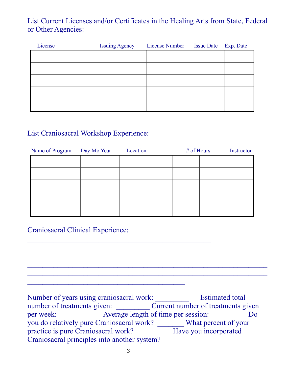## List Current Licenses and/or Certificates in the Healing Arts from State, Federal or Other Agencies:

| License | Issuing Agency License Number Issue Date Exp. Date |  |
|---------|----------------------------------------------------|--|
|         |                                                    |  |
|         |                                                    |  |
|         |                                                    |  |
|         |                                                    |  |
|         |                                                    |  |
|         |                                                    |  |

# List Craniosacral Workshop Experience:

| Name of Program Day Mo Year | Location | $#$ of Hours | Instructor |
|-----------------------------|----------|--------------|------------|
|                             |          |              |            |
|                             |          |              |            |
|                             |          |              |            |
|                             |          |              |            |
|                             |          |              |            |
|                             |          |              |            |

### Craniosacral Clinical Experience:

Number of years using craniosacral work: \_\_\_\_\_\_\_\_\_\_\_\_\_\_ Estimated total number of treatments given: Current number of treatments given per week: \_\_\_\_\_\_\_\_\_\_ Average length of time per session: Do you do relatively pure Craniosacral work? \_\_\_\_\_\_\_ What percent of your practice is pure Craniosacral work? \_\_\_\_\_\_\_ Have you incorporated Craniosacral principles into another system?

 $\mathcal{L}_\text{max}$  and  $\mathcal{L}_\text{max}$  and  $\mathcal{L}_\text{max}$  and  $\mathcal{L}_\text{max}$  and  $\mathcal{L}_\text{max}$  and  $\mathcal{L}_\text{max}$  $\mathcal{L}_\text{max}$  and  $\mathcal{L}_\text{max}$  and  $\mathcal{L}_\text{max}$  and  $\mathcal{L}_\text{max}$  and  $\mathcal{L}_\text{max}$  and  $\mathcal{L}_\text{max}$  $\mathcal{L}_\text{max}$  and  $\mathcal{L}_\text{max}$  and  $\mathcal{L}_\text{max}$  and  $\mathcal{L}_\text{max}$  and  $\mathcal{L}_\text{max}$  and  $\mathcal{L}_\text{max}$ 

 $\mathcal{L}_\text{max}$  , and the contract of the contract of the contract of the contract of the contract of the contract of the contract of the contract of the contract of the contract of the contract of the contract of the contr

 $\mathcal{L}_\text{max}$  , and the contract of the contract of the contract of the contract of the contract of the contract of the contract of the contract of the contract of the contract of the contract of the contract of the contr